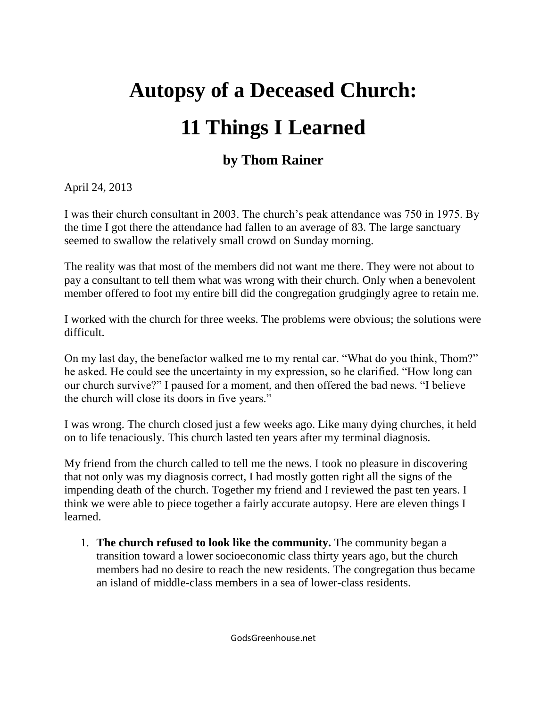## **Autopsy of a Deceased Church: 11 Things I Learned**

## **by Thom Rainer**

April 24, 2013

I was their church consultant in 2003. The church's peak attendance was 750 in 1975. By the time I got there the attendance had fallen to an average of 83. The large sanctuary seemed to swallow the relatively small crowd on Sunday morning.

The reality was that most of the members did not want me there. They were not about to pay a consultant to tell them what was wrong with their church. Only when a benevolent member offered to foot my entire bill did the congregation grudgingly agree to retain me.

I worked with the church for three weeks. The problems were obvious; the solutions were difficult.

On my last day, the benefactor walked me to my rental car. "What do you think, Thom?" he asked. He could see the uncertainty in my expression, so he clarified. "How long can our church survive?" I paused for a moment, and then offered the bad news. "I believe the church will close its doors in five years."

I was wrong. The church closed just a few weeks ago. Like many dying churches, it held on to life tenaciously. This church lasted ten years after my terminal diagnosis.

My friend from the church called to tell me the news. I took no pleasure in discovering that not only was my diagnosis correct, I had mostly gotten right all the signs of the impending death of the church. Together my friend and I reviewed the past ten years. I think we were able to piece together a fairly accurate autopsy. Here are eleven things I learned.

1. **The church refused to look like the community.** The community began a transition toward a lower socioeconomic class thirty years ago, but the church members had no desire to reach the new residents. The congregation thus became an island of middle-class members in a sea of lower-class residents.